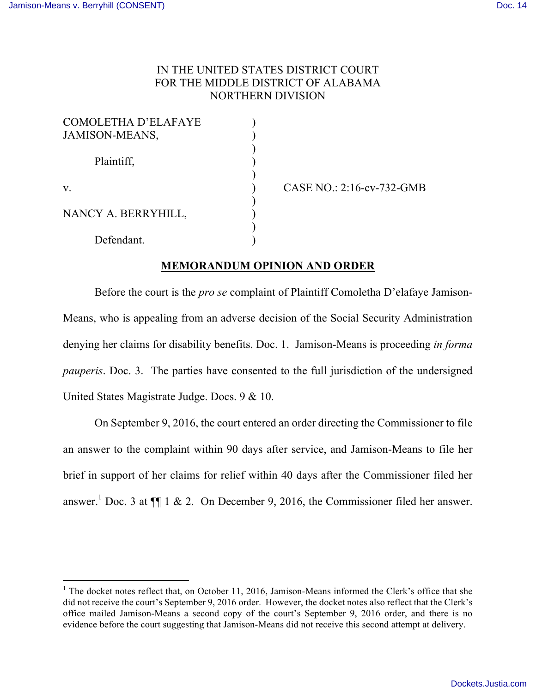## IN THE UNITED STATES DISTRICT COURT FOR THE MIDDLE DISTRICT OF ALABAMA NORTHERN DIVISION

| <b>COMOLETHA D'ELAFAYE</b><br><b>JAMISON-MEANS,</b> |  |
|-----------------------------------------------------|--|
|                                                     |  |
| Plaintiff,                                          |  |
| $\mathbf{V}$                                        |  |
| NANCY A. BERRYHILL,                                 |  |
|                                                     |  |
| Defendant.                                          |  |

CASE NO.: 2:16-cv-732-GMB

## **MEMORANDUM OPINION AND ORDER**

Before the court is the *pro se* complaint of Plaintiff Comoletha D'elafaye Jamison-Means, who is appealing from an adverse decision of the Social Security Administration denying her claims for disability benefits. Doc. 1. Jamison-Means is proceeding *in forma pauperis*. Doc. 3. The parties have consented to the full jurisdiction of the undersigned United States Magistrate Judge. Docs. 9 & 10.

On September 9, 2016, the court entered an order directing the Commissioner to file an answer to the complaint within 90 days after service, and Jamison-Means to file her brief in support of her claims for relief within 40 days after the Commissioner filed her answer.<sup>1</sup> Doc. 3 at  $\P$  1 & 2. On December 9, 2016, the Commissioner filed her answer.

 $1$  The docket notes reflect that, on October 11, 2016, Jamison-Means informed the Clerk's office that she did not receive the court's September 9, 2016 order. However, the docket notes also reflect that the Clerk's office mailed Jamison-Means a second copy of the court's September 9, 2016 order, and there is no evidence before the court suggesting that Jamison-Means did not receive this second attempt at delivery.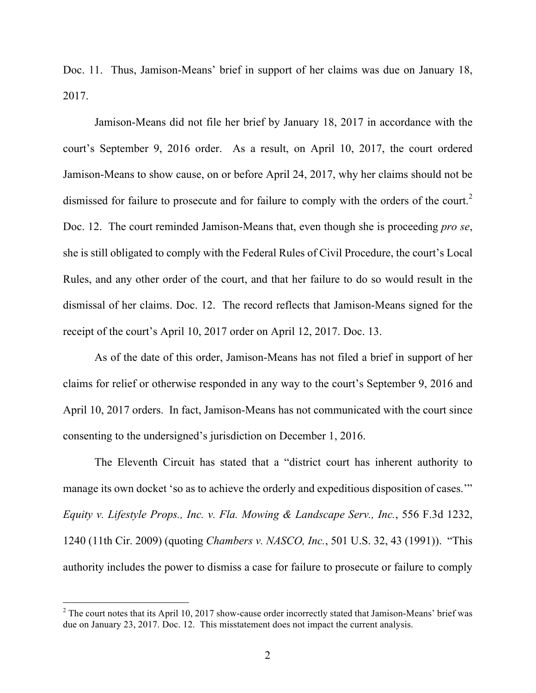Doc. 11. Thus, Jamison-Means' brief in support of her claims was due on January 18, 2017.

Jamison-Means did not file her brief by January 18, 2017 in accordance with the court's September 9, 2016 order. As a result, on April 10, 2017, the court ordered Jamison-Means to show cause, on or before April 24, 2017, why her claims should not be dismissed for failure to prosecute and for failure to comply with the orders of the court.<sup>2</sup> Doc. 12. The court reminded Jamison-Means that, even though she is proceeding *pro se*, she is still obligated to comply with the Federal Rules of Civil Procedure, the court's Local Rules, and any other order of the court, and that her failure to do so would result in the dismissal of her claims. Doc. 12. The record reflects that Jamison-Means signed for the receipt of the court's April 10, 2017 order on April 12, 2017. Doc. 13.

As of the date of this order, Jamison-Means has not filed a brief in support of her claims for relief or otherwise responded in any way to the court's September 9, 2016 and April 10, 2017 orders. In fact, Jamison-Means has not communicated with the court since consenting to the undersigned's jurisdiction on December 1, 2016.

The Eleventh Circuit has stated that a "district court has inherent authority to manage its own docket 'so as to achieve the orderly and expeditious disposition of cases.'" *Equity v. Lifestyle Props., Inc. v. Fla. Mowing & Landscape Serv., Inc.*, 556 F.3d 1232, 1240 (11th Cir. 2009) (quoting *Chambers v. NASCO, Inc.*, 501 U.S. 32, 43 (1991)). "This authority includes the power to dismiss a case for failure to prosecute or failure to comply

 $2$  The court notes that its April 10, 2017 show-cause order incorrectly stated that Jamison-Means' brief was due on January 23, 2017. Doc. 12. This misstatement does not impact the current analysis.